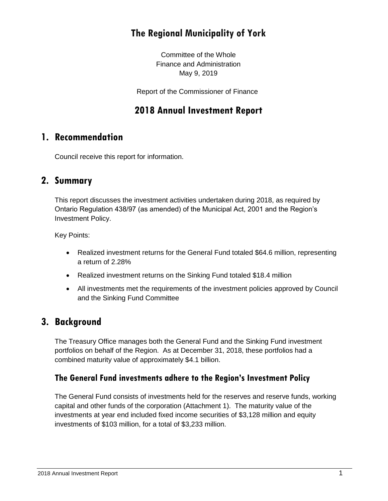# **The Regional Municipality of York**

Committee of the Whole Finance and Administration May 9, 2019

Report of the Commissioner of Finance

## **2018 Annual Investment Report**

### **1. Recommendation**

Council receive this report for information.

### **2. Summary**

This report discusses the investment activities undertaken during 2018, as required by Ontario Regulation 438/97 (as amended) of the Municipal Act, 2001 and the Region's Investment Policy.

Key Points:

- Realized investment returns for the General Fund totaled \$64.6 million, representing a return of 2.28%
- Realized investment returns on the Sinking Fund totaled \$18.4 million
- All investments met the requirements of the investment policies approved by Council and the Sinking Fund Committee

## **3. Background**

The Treasury Office manages both the General Fund and the Sinking Fund investment portfolios on behalf of the Region. As at December 31, 2018, these portfolios had a combined maturity value of approximately \$4.1 billion.

#### **The General Fund investments adhere to the Region's Investment Policy**

The General Fund consists of investments held for the reserves and reserve funds, working capital and other funds of the corporation (Attachment 1). The maturity value of the investments at year end included fixed income securities of \$3,128 million and equity investments of \$103 million, for a total of \$3,233 million.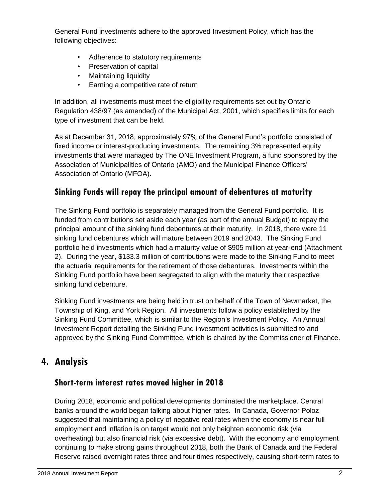General Fund investments adhere to the approved Investment Policy, which has the following objectives:

- Adherence to statutory requirements
- Preservation of capital
- Maintaining liquidity
- Earning a competitive rate of return

In addition, all investments must meet the eligibility requirements set out by Ontario Regulation 438/97 (as amended) of the Municipal Act, 2001, which specifies limits for each type of investment that can be held.

As at December 31, 2018, approximately 97% of the General Fund's portfolio consisted of fixed income or interest-producing investments. The remaining 3% represented equity investments that were managed by The ONE Investment Program, a fund sponsored by the Association of Municipalities of Ontario (AMO) and the Municipal Finance Officers' Association of Ontario (MFOA).

## **Sinking Funds will repay the principal amount of debentures at maturity**

The Sinking Fund portfolio is separately managed from the General Fund portfolio. It is funded from contributions set aside each year (as part of the annual Budget) to repay the principal amount of the sinking fund debentures at their maturity. In 2018, there were 11 sinking fund debentures which will mature between 2019 and 2043. The Sinking Fund portfolio held investments which had a maturity value of \$905 million at year-end (Attachment 2). During the year, \$133.3 million of contributions were made to the Sinking Fund to meet the actuarial requirements for the retirement of those debentures. Investments within the Sinking Fund portfolio have been segregated to align with the maturity their respective sinking fund debenture.

Sinking Fund investments are being held in trust on behalf of the Town of Newmarket, the Township of King, and York Region. All investments follow a policy established by the Sinking Fund Committee, which is similar to the Region's Investment Policy. An Annual Investment Report detailing the Sinking Fund investment activities is submitted to and approved by the Sinking Fund Committee, which is chaired by the Commissioner of Finance.

# **4. Analysis**

### **Short-term interest rates moved higher in 2018**

During 2018, economic and political developments dominated the marketplace. Central banks around the world began talking about higher rates. In Canada, Governor Poloz suggested that maintaining a policy of negative real rates when the economy is near full employment and inflation is on target would not only heighten economic risk (via overheating) but also financial risk (via excessive debt). With the economy and employment continuing to make strong gains throughout 2018, both the Bank of Canada and the Federal Reserve raised overnight rates three and four times respectively, causing short-term rates to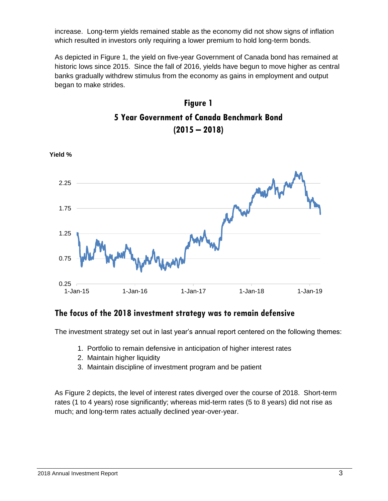increase. Long-term yields remained stable as the economy did not show signs of inflation which resulted in investors only requiring a lower premium to hold long-term bonds.

As depicted in Figure 1, the yield on five-year Government of Canada bond has remained at historic lows since 2015. Since the fall of 2016, yields have begun to move higher as central banks gradually withdrew stimulus from the economy as gains in employment and output began to make strides.





#### **The focus of the 2018 investment strategy was to remain defensive**

The investment strategy set out in last year's annual report centered on the following themes:

- 1. Portfolio to remain defensive in anticipation of higher interest rates
- 2. Maintain higher liquidity
- 3. Maintain discipline of investment program and be patient

As Figure 2 depicts, the level of interest rates diverged over the course of 2018. Short-term rates (1 to 4 years) rose significantly; whereas mid-term rates (5 to 8 years) did not rise as much; and long-term rates actually declined year-over-year.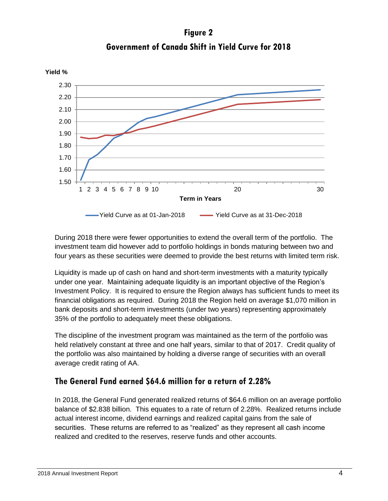**Figure 2 Government of Canada Shift in Yield Curve for 2018**



During 2018 there were fewer opportunities to extend the overall term of the portfolio. The investment team did however add to portfolio holdings in bonds maturing between two and four years as these securities were deemed to provide the best returns with limited term risk.

Liquidity is made up of cash on hand and short-term investments with a maturity typically under one year. Maintaining adequate liquidity is an important objective of the Region's Investment Policy. It is required to ensure the Region always has sufficient funds to meet its financial obligations as required. During 2018 the Region held on average \$1,070 million in bank deposits and short-term investments (under two years) representing approximately 35% of the portfolio to adequately meet these obligations.

The discipline of the investment program was maintained as the term of the portfolio was held relatively constant at three and one half years, similar to that of 2017. Credit quality of the portfolio was also maintained by holding a diverse range of securities with an overall average credit rating of AA.

### **The General Fund earned \$64.6 million for a return of 2.28%**

In 2018, the General Fund generated realized returns of \$64.6 million on an average portfolio balance of \$2.838 billion. This equates to a rate of return of 2.28%. Realized returns include actual interest income, dividend earnings and realized capital gains from the sale of securities. These returns are referred to as "realized" as they represent all cash income realized and credited to the reserves, reserve funds and other accounts.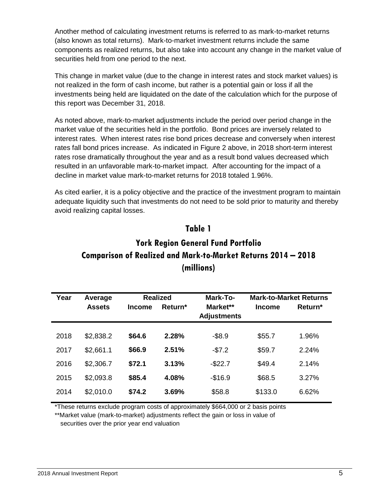Another method of calculating investment returns is referred to as mark-to-market returns (also known as total returns). Mark-to-market investment returns include the same components as realized returns, but also take into account any change in the market value of securities held from one period to the next.

This change in market value (due to the change in interest rates and stock market values) is not realized in the form of cash income, but rather is a potential gain or loss if all the investments being held are liquidated on the date of the calculation which for the purpose of this report was December 31, 2018.

As noted above, mark-to-market adjustments include the period over period change in the market value of the securities held in the portfolio. Bond prices are inversely related to interest rates. When interest rates rise bond prices decrease and conversely when interest rates fall bond prices increase. As indicated in Figure 2 above, in 2018 short-term interest rates rose dramatically throughout the year and as a result bond values decreased which resulted in an unfavorable mark-to-market impact. After accounting for the impact of a decline in market value mark-to-market returns for 2018 totaled 1.96%.

As cited earlier, it is a policy objective and the practice of the investment program to maintain adequate liquidity such that investments do not need to be sold prior to maturity and thereby avoid realizing capital losses.

#### **Table 1**

# **York Region General Fund Portfolio Comparison of Realized and Mark-to-Market Returns 2014 – 2018 (millions)**

| Year | Average       | <b>Realized</b> |         | Mark-To-                       | <b>Mark-to-Market Returns</b> |         |
|------|---------------|-----------------|---------|--------------------------------|-------------------------------|---------|
|      | <b>Assets</b> | <b>Income</b>   | Return* | Market**<br><b>Adjustments</b> | <b>Income</b>                 | Return* |
|      |               |                 |         |                                |                               |         |
| 2018 | \$2,838.2     | \$64.6          | 2.28%   | $-$8.9$                        | \$55.7                        | 1.96%   |
| 2017 | \$2,661.1     | \$66.9          | 2.51%   | $-$7.2$                        | \$59.7                        | 2.24%   |
| 2016 | \$2,306.7     | \$72.1          | 3.13%   | $-$22.7$                       | \$49.4                        | 2.14%   |
| 2015 | \$2,093.8     | \$85.4          | 4.08%   | $-$16.9$                       | \$68.5                        | 3.27%   |
| 2014 | \$2,010.0     | \$74.2          | 3.69%   | \$58.8                         | \$133.0                       | 6.62%   |

\*These returns exclude program costs of approximately \$664,000 or 2 basis points

\*\*Market value (mark-to-market) adjustments reflect the gain or loss in value of securities over the prior year end valuation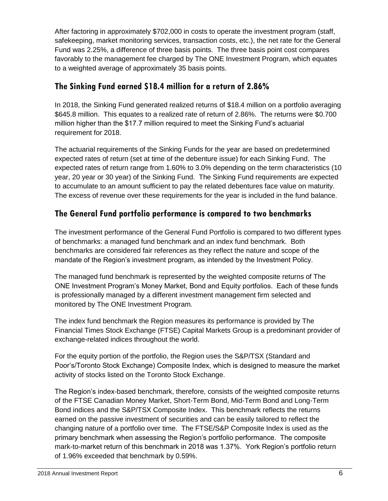After factoring in approximately \$702,000 in costs to operate the investment program (staff, safekeeping, market monitoring services, transaction costs, etc.), the net rate for the General Fund was 2.25%, a difference of three basis points. The three basis point cost compares favorably to the management fee charged by The ONE Investment Program, which equates to a weighted average of approximately 35 basis points.

### **The Sinking Fund earned \$18.4 million for a return of 2.86%**

In 2018, the Sinking Fund generated realized returns of \$18.4 million on a portfolio averaging \$645.8 million. This equates to a realized rate of return of 2.86%. The returns were \$0.700 million higher than the \$17.7 million required to meet the Sinking Fund's actuarial requirement for 2018.

The actuarial requirements of the Sinking Funds for the year are based on predetermined expected rates of return (set at time of the debenture issue) for each Sinking Fund. The expected rates of return range from 1.60% to 3.0% depending on the term characteristics (10 year, 20 year or 30 year) of the Sinking Fund. The Sinking Fund requirements are expected to accumulate to an amount sufficient to pay the related debentures face value on maturity. The excess of revenue over these requirements for the year is included in the fund balance.

## **The General Fund portfolio performance is compared to two benchmarks**

The investment performance of the General Fund Portfolio is compared to two different types of benchmarks: a managed fund benchmark and an index fund benchmark. Both benchmarks are considered fair references as they reflect the nature and scope of the mandate of the Region's investment program, as intended by the Investment Policy.

The managed fund benchmark is represented by the weighted composite returns of The ONE Investment Program's Money Market, Bond and Equity portfolios. Each of these funds is professionally managed by a different investment management firm selected and monitored by The ONE Investment Program.

The index fund benchmark the Region measures its performance is provided by The Financial Times Stock Exchange (FTSE) Capital Markets Group is a predominant provider of exchange-related indices throughout the world.

For the equity portion of the portfolio, the Region uses the S&P/TSX (Standard and Poor's/Toronto Stock Exchange) Composite Index, which is designed to measure the market activity of stocks listed on the Toronto Stock Exchange.

The Region's index-based benchmark, therefore, consists of the weighted composite returns of the FTSE Canadian Money Market, Short-Term Bond, Mid-Term Bond and Long-Term Bond indices and the S&P/TSX Composite Index. This benchmark reflects the returns earned on the passive investment of securities and can be easily tailored to reflect the changing nature of a portfolio over time. The FTSE/S&P Composite Index is used as the primary benchmark when assessing the Region's portfolio performance. The composite mark-to-market return of this benchmark in 2018 was 1.37%. York Region's portfolio return of 1.96% exceeded that benchmark by 0.59%.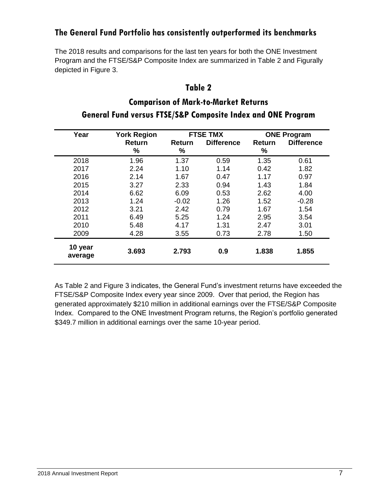### **The General Fund Portfolio has consistently outperformed its benchmarks**

The 2018 results and comparisons for the last ten years for both the ONE Investment Program and the FTSE/S&P Composite Index are summarized in Table 2 and Figurally depicted in Figure 3.

#### **Table 2**

## **Comparison of Mark-to-Market Returns General Fund versus FTSE/S&P Composite Index and ONE Program**

| Year               | <b>York Region</b> | <b>FTSE TMX</b> |                   | <b>ONE Program</b> |                   |
|--------------------|--------------------|-----------------|-------------------|--------------------|-------------------|
|                    | <b>Return</b>      | Return          | <b>Difference</b> | Return             | <b>Difference</b> |
|                    | %                  | %               |                   | %                  |                   |
| 2018               | 1.96               | 1.37            | 0.59              | 1.35               | 0.61              |
| 2017               | 2.24               | 1.10            | 1.14              | 0.42               | 1.82              |
| 2016               | 2.14               | 1.67            | 0.47              | 1.17               | 0.97              |
| 2015               | 3.27               | 2.33            | 0.94              | 1.43               | 1.84              |
| 2014               | 6.62               | 6.09            | 0.53              | 2.62               | 4.00              |
| 2013               | 1.24               | $-0.02$         | 1.26              | 1.52               | $-0.28$           |
| 2012               | 3.21               | 2.42            | 0.79              | 1.67               | 1.54              |
| 2011               | 6.49               | 5.25            | 1.24              | 2.95               | 3.54              |
| 2010               | 5.48               | 4.17            | 1.31              | 2.47               | 3.01              |
| 2009               | 4.28               | 3.55            | 0.73              | 2.78               | 1.50              |
| 10 year<br>average | 3.693              | 2.793           | 0.9               | 1.838              | 1.855             |

As Table 2 and Figure 3 indicates, the General Fund's investment returns have exceeded the FTSE/S&P Composite Index every year since 2009. Over that period, the Region has generated approximately \$210 million in additional earnings over the FTSE/S&P Composite Index. Compared to the ONE Investment Program returns, the Region's portfolio generated \$349.7 million in additional earnings over the same 10-year period.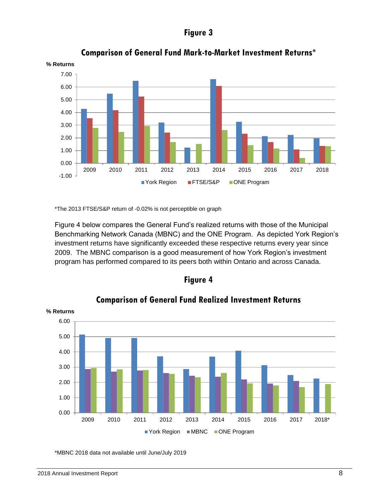#### **Figure 3**



**Comparison of General Fund Mark-to-Market Investment Returns\***

\*The 2013 FTSE/S&P return of -0.02% is not perceptible on graph

Figure 4 below compares the General Fund's realized returns with those of the Municipal Benchmarking Network Canada (MBNC) and the ONE Program. As depicted York Region's investment returns have significantly exceeded these respective returns every year since 2009. The MBNC comparison is a good measurement of how York Region's investment program has performed compared to its peers both within Ontario and across Canada.





**Comparison of General Fund Realized Investment Returns**

\*MBNC 2018 data not available until June/July 2019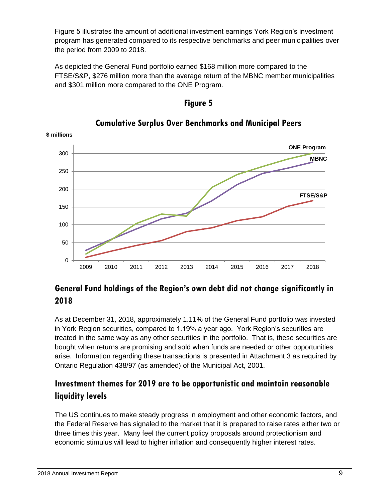Figure 5 illustrates the amount of additional investment earnings York Region's investment program has generated compared to its respective benchmarks and peer municipalities over the period from 2009 to 2018.

As depicted the General Fund portfolio earned \$168 million more compared to the FTSE/S&P, \$276 million more than the average return of the MBNC member municipalities and \$301 million more compared to the ONE Program.



#### **Cumulative Surplus Over Benchmarks and Municipal Peers**

**Figure 5**

## **General Fund holdings of the Region's own debt did not change significantly in 2018**

As at December 31, 2018, approximately 1.11% of the General Fund portfolio was invested in York Region securities, compared to 1.19% a year ago. York Region's securities are treated in the same way as any other securities in the portfolio. That is, these securities are bought when returns are promising and sold when funds are needed or other opportunities arise. Information regarding these transactions is presented in Attachment 3 as required by Ontario Regulation 438/97 (as amended) of the Municipal Act, 2001.

## **Investment themes for 2019 are to be opportunistic and maintain reasonable liquidity levels**

The US continues to make steady progress in employment and other economic factors, and the Federal Reserve has signaled to the market that it is prepared to raise rates either two or three times this year. Many feel the current policy proposals around protectionism and economic stimulus will lead to higher inflation and consequently higher interest rates.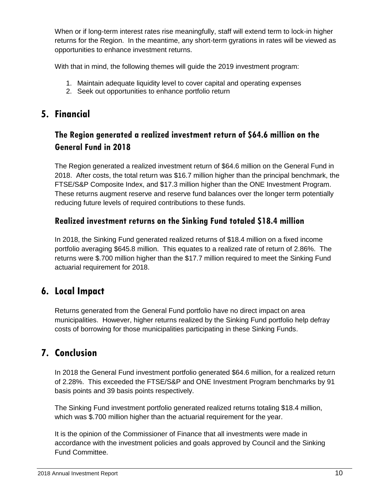When or if long-term interest rates rise meaningfully, staff will extend term to lock-in higher returns for the Region. In the meantime, any short-term gyrations in rates will be viewed as opportunities to enhance investment returns.

With that in mind, the following themes will guide the 2019 investment program:

- 1. Maintain adequate liquidity level to cover capital and operating expenses
- 2. Seek out opportunities to enhance portfolio return

# **5. Financial**

## **The Region generated a realized investment return of \$64.6 million on the General Fund in 2018**

The Region generated a realized investment return of \$64.6 million on the General Fund in 2018. After costs, the total return was \$16.7 million higher than the principal benchmark, the FTSE/S&P Composite Index, and \$17.3 million higher than the ONE Investment Program. These returns augment reserve and reserve fund balances over the longer term potentially reducing future levels of required contributions to these funds.

### **Realized investment returns on the Sinking Fund totaled \$18.4 million**

In 2018, the Sinking Fund generated realized returns of \$18.4 million on a fixed income portfolio averaging \$645.8 million. This equates to a realized rate of return of 2.86%. The returns were \$.700 million higher than the \$17.7 million required to meet the Sinking Fund actuarial requirement for 2018.

# **6. Local Impact**

Returns generated from the General Fund portfolio have no direct impact on area municipalities. However, higher returns realized by the Sinking Fund portfolio help defray costs of borrowing for those municipalities participating in these Sinking Funds.

# **7. Conclusion**

In 2018 the General Fund investment portfolio generated \$64.6 million, for a realized return of 2.28%. This exceeded the FTSE/S&P and ONE Investment Program benchmarks by 91 basis points and 39 basis points respectively.

The Sinking Fund investment portfolio generated realized returns totaling \$18.4 million, which was \$.700 million higher than the actuarial requirement for the year.

It is the opinion of the Commissioner of Finance that all investments were made in accordance with the investment policies and goals approved by Council and the Sinking Fund Committee.